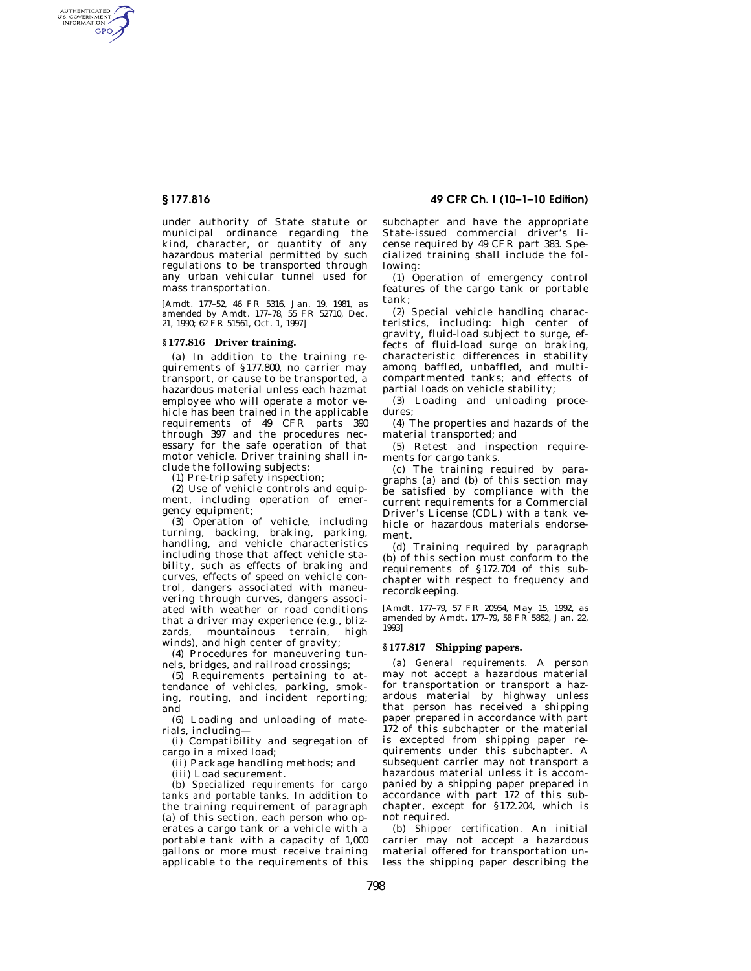AUTHENTICATED<br>U.S. GOVERNMENT<br>INFORMATION **GPO** 

> under authority of State statute or municipal ordinance regarding the kind, character, or quantity of any hazardous material permitted by such regulations to be transported through any urban vehicular tunnel used for mass transportation.

[Amdt. 177–52, 46 FR 5316, Jan. 19, 1981, as amended by Amdt. 177–78, 55 FR 52710, Dec. 21, 1990; 62 FR 51561, Oct. 1, 1997]

## **§ 177.816 Driver training.**

(a) In addition to the training requirements of §177.800, no carrier may transport, or cause to be transported, a hazardous material unless each hazmat employee who will operate a motor vehicle has been trained in the applicable requirements of 49 CFR parts 390 through 397 and the procedures necessary for the safe operation of that motor vehicle. Driver training shall include the following subjects:

(1) Pre-trip safety inspection;

(2) Use of vehicle controls and equipment, including operation of emergency equipment;

(3) Operation of vehicle, including turning, backing, braking, parking, handling, and vehicle characteristics including those that affect vehicle stability, such as effects of braking and curves, effects of speed on vehicle control, dangers associated with maneuvering through curves, dangers associated with weather or road conditions that a driver may experience (e.g., blizzards, mountainous terrain, high winds), and high center of gravity;

(4) Procedures for maneuvering tunnels, bridges, and railroad crossings;

(5) Requirements pertaining to attendance of vehicles, parking, smoking, routing, and incident reporting; and

(6) Loading and unloading of materials, including—

(i) Compatibility and segregation of cargo in a mixed load;

(ii) Package handling methods; and

(iii) Load securement.

(b) *Specialized requirements for cargo tanks and portable tanks.* In addition to the training requirement of paragraph (a) of this section, each person who operates a cargo tank or a vehicle with a portable tank with a capacity of 1,000 gallons or more must receive training applicable to the requirements of this

**§ 177.816 49 CFR Ch. I (10–1–10 Edition)** 

subchapter and have the appropriate State-issued commercial driver's license required by 49 CFR part 383. Specialized training shall include the following:

(1) Operation of emergency control features of the cargo tank or portable tank;

(2) Special vehicle handling characteristics, including: high center of gravity, fluid-load subject to surge, effects of fluid-load surge on braking, characteristic differences in stability among baffled, unbaffled, and multicompartmented tanks; and effects of partial loads on vehicle stability;

(3) Loading and unloading procedures;

(4) The properties and hazards of the material transported; and

(5) Retest and inspection requirements for cargo tanks.

(c) The training required by paragraphs (a) and (b) of this section may be satisfied by compliance with the current requirements for a Commercial Driver's License (CDL) with a tank vehicle or hazardous materials endorsement.

(d) Training required by paragraph (b) of this section must conform to the requirements of §172.704 of this subchapter with respect to frequency and recordkeeping.

[Amdt. 177–79, 57 FR 20954, May 15, 1992, as amended by Amdt. 177–79, 58 FR 5852, Jan. 22, 1993]

### **§ 177.817 Shipping papers.**

(a) *General requirements.* A person may not accept a hazardous material for transportation or transport a hazardous material by highway unless that person has received a shipping paper prepared in accordance with part 172 of this subchapter or the material is excepted from shipping paper requirements under this subchapter. A subsequent carrier may not transport a hazardous material unless it is accompanied by a shipping paper prepared in accordance with part 172 of this subchapter, except for §172.204, which is not required.

(b) *Shipper certification.* An initial carrier may not accept a hazardous material offered for transportation unless the shipping paper describing the